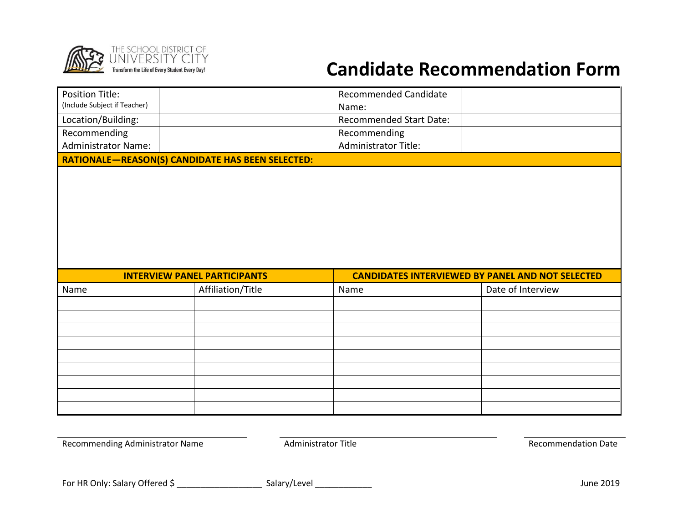

## **Candidate Recommendation Form**

| <b>Position Title:</b><br><b>Recommended Candidate</b><br>(Include Subject if Teacher)<br>Name:<br>Location/Building:<br>Recommended Start Date:<br>Recommending<br>Recommending<br><b>Administrator Name:</b><br>Administrator Title:<br>RATIONALE-REASON(S) CANDIDATE HAS BEEN SELECTED:<br><b>CANDIDATES INTERVIEWED BY PANEL AND NOT SELECTED</b><br><b>INTERVIEW PANEL PARTICIPANTS</b><br>Affiliation/Title<br>Date of Interview<br>Name<br>Name |
|--------------------------------------------------------------------------------------------------------------------------------------------------------------------------------------------------------------------------------------------------------------------------------------------------------------------------------------------------------------------------------------------------------------------------------------------------------|
|                                                                                                                                                                                                                                                                                                                                                                                                                                                        |
|                                                                                                                                                                                                                                                                                                                                                                                                                                                        |
|                                                                                                                                                                                                                                                                                                                                                                                                                                                        |
|                                                                                                                                                                                                                                                                                                                                                                                                                                                        |
|                                                                                                                                                                                                                                                                                                                                                                                                                                                        |
|                                                                                                                                                                                                                                                                                                                                                                                                                                                        |
|                                                                                                                                                                                                                                                                                                                                                                                                                                                        |
|                                                                                                                                                                                                                                                                                                                                                                                                                                                        |
|                                                                                                                                                                                                                                                                                                                                                                                                                                                        |
|                                                                                                                                                                                                                                                                                                                                                                                                                                                        |
|                                                                                                                                                                                                                                                                                                                                                                                                                                                        |
|                                                                                                                                                                                                                                                                                                                                                                                                                                                        |
|                                                                                                                                                                                                                                                                                                                                                                                                                                                        |
|                                                                                                                                                                                                                                                                                                                                                                                                                                                        |
|                                                                                                                                                                                                                                                                                                                                                                                                                                                        |
|                                                                                                                                                                                                                                                                                                                                                                                                                                                        |
|                                                                                                                                                                                                                                                                                                                                                                                                                                                        |
|                                                                                                                                                                                                                                                                                                                                                                                                                                                        |
|                                                                                                                                                                                                                                                                                                                                                                                                                                                        |
|                                                                                                                                                                                                                                                                                                                                                                                                                                                        |

For HR Only: Salary Offered \$ \_\_\_\_\_\_\_\_\_\_\_\_\_\_\_\_\_\_ Salary/Level \_\_\_\_\_\_\_\_\_\_\_\_ June 2019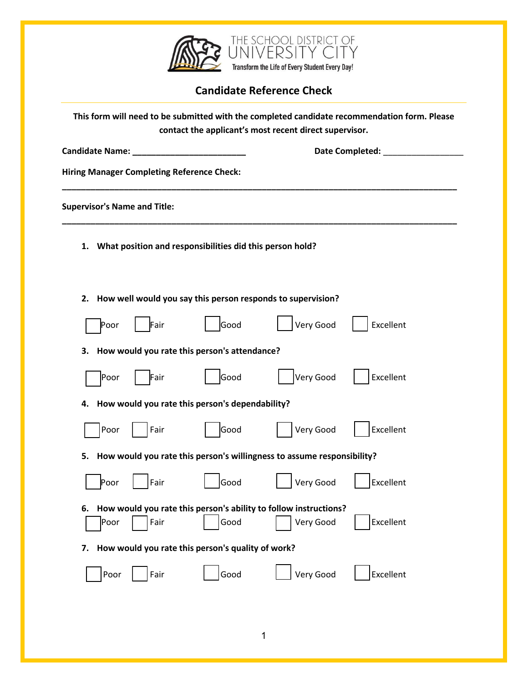

## **Candidate Reference Check**

| This form will need to be submitted with the completed candidate recommendation form. Please<br>contact the applicant's most recent direct supervisor. |                                              |                                     |                                                          |                                                                               |           |  |  |  |  |  |
|--------------------------------------------------------------------------------------------------------------------------------------------------------|----------------------------------------------|-------------------------------------|----------------------------------------------------------|-------------------------------------------------------------------------------|-----------|--|--|--|--|--|
|                                                                                                                                                        | Candidate Name: ___                          |                                     |                                                          | Date Completed:                                                               |           |  |  |  |  |  |
|                                                                                                                                                        |                                              |                                     | <b>Hiring Manager Completing Reference Check:</b>        |                                                                               |           |  |  |  |  |  |
|                                                                                                                                                        |                                              | <b>Supervisor's Name and Title:</b> |                                                          |                                                                               |           |  |  |  |  |  |
| 1.                                                                                                                                                     |                                              |                                     | What position and responsibilities did this person hold? |                                                                               |           |  |  |  |  |  |
| How well would you say this person responds to supervision?<br>2.                                                                                      |                                              |                                     |                                                          |                                                                               |           |  |  |  |  |  |
|                                                                                                                                                        | Poor                                         | Fair                                | Good                                                     | Very Good                                                                     | Excellent |  |  |  |  |  |
| 3.                                                                                                                                                     | How would you rate this person's attendance? |                                     |                                                          |                                                                               |           |  |  |  |  |  |
|                                                                                                                                                        | Poor                                         | Fair                                | Good                                                     | Very Good                                                                     | Excellent |  |  |  |  |  |
| 4.                                                                                                                                                     |                                              |                                     | How would you rate this person's dependability?          |                                                                               |           |  |  |  |  |  |
|                                                                                                                                                        | Poor                                         | Fair                                | Good                                                     | Very Good                                                                     | Excellent |  |  |  |  |  |
| 5.                                                                                                                                                     |                                              |                                     |                                                          | How would you rate this person's willingness to assume responsibility?        |           |  |  |  |  |  |
|                                                                                                                                                        | Poor                                         | Fair                                | Good                                                     | Very Good                                                                     | Excellent |  |  |  |  |  |
| 6.                                                                                                                                                     | Poor                                         | Fair                                | Good                                                     | How would you rate this person's ability to follow instructions?<br>Very Good | Excellent |  |  |  |  |  |
| 7.                                                                                                                                                     |                                              |                                     | How would you rate this person's quality of work?        |                                                                               |           |  |  |  |  |  |
|                                                                                                                                                        | Poor                                         | Fair                                | Good                                                     | Very Good                                                                     | Excellent |  |  |  |  |  |